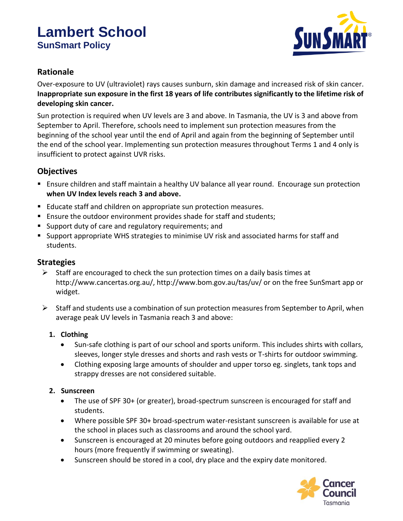# **Lambert School SunSmart Policy**



## **Rationale**

Over-exposure to UV (ultraviolet) rays causes sunburn, skin damage and increased risk of skin cancer. **Inappropriate sun exposure in the first 18 years of life contributes significantly to the lifetime risk of developing skin cancer.**

Sun protection is required when UV levels are 3 and above. In Tasmania, the UV is 3 and above from September to April. Therefore, schools need to implement sun protection measures from the beginning of the school year until the end of April and again from the beginning of September until the end of the school year. Implementing sun protection measures throughout Terms 1 and 4 only is insufficient to protect against UVR risks.

## **Objectives**

- Ensure children and staff maintain a healthy UV balance all year round. Encourage sun protection **when UV Index levels reach 3 and above.**
- Educate staff and children on appropriate sun protection measures.
- Ensure the outdoor environment provides shade for staff and students;
- Support duty of care and regulatory requirements; and
- Support appropriate WHS strategies to minimise UV risk and associated harms for staff and students.

### **Strategies**

- $\triangleright$  Staff are encouraged to check the sun protection times on a daily basis times at http://www.cancertas.org.au/, http://www.bom.gov.au/tas/uv/ or on the free SunSmart app or widget.
- $\triangleright$  Staff and students use a combination of sun protection measures from September to April, when average peak UV levels in Tasmania reach 3 and above:

#### **1. Clothing**

- Sun-safe clothing is part of our school and sports uniform. This includes shirts with collars, sleeves, longer style dresses and shorts and rash vests or T-shirts for outdoor swimming.
- Clothing exposing large amounts of shoulder and upper torso eg. singlets, tank tops and strappy dresses are not considered suitable.

#### **2. Sunscreen**

- The use of SPF 30+ (or greater), broad-spectrum sunscreen is encouraged for staff and students.
- Where possible SPF 30+ broad-spectrum water-resistant sunscreen is available for use at the school in places such as classrooms and around the school yard.
- Sunscreen is encouraged at 20 minutes before going outdoors and reapplied every 2 hours (more frequently if swimming or sweating).
- Sunscreen should be stored in a cool, dry place and the expiry date monitored.

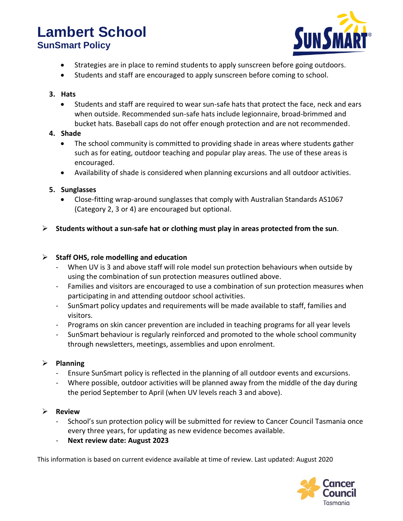## **Lambert School SunSmart Policy**



- Strategies are in place to remind students to apply sunscreen before going outdoors.
- Students and staff are encouraged to apply sunscreen before coming to school.

#### **3. Hats**

• Students and staff are required to wear sun-safe hats that protect the face, neck and ears when outside. Recommended sun-safe hats include legionnaire, broad-brimmed and bucket hats. Baseball caps do not offer enough protection and are not recommended.

#### **4. Shade**

- The school community is committed to providing shade in areas where students gather such as for eating, outdoor teaching and popular play areas. The use of these areas is encouraged.
- Availability of shade is considered when planning excursions and all outdoor activities.

#### **5. Sunglasses**

- Close-fitting wrap-around sunglasses that comply with Australian Standards AS1067 (Category 2, 3 or 4) are encouraged but optional.
- ➢ **Students without a sun-safe hat or clothing must play in areas protected from the sun**.

#### ➢ **Staff OHS, role modelling and education**

- When UV is 3 and above staff will role model sun protection behaviours when outside by using the combination of sun protection measures outlined above.
- Families and visitors are encouraged to use a combination of sun protection measures when participating in and attending outdoor school activities.
- SunSmart policy updates and requirements will be made available to staff, families and visitors.
- Programs on skin cancer prevention are included in teaching programs for all year levels
- SunSmart behaviour is regularly reinforced and promoted to the whole school community through newsletters, meetings, assemblies and upon enrolment.

#### ➢ **Planning**

- Ensure SunSmart policy is reflected in the planning of all outdoor events and excursions.
- Where possible, outdoor activities will be planned away from the middle of the day during the period September to April (when UV levels reach 3 and above).

#### ➢ **Review**

- School's sun protection policy will be submitted for review to Cancer Council Tasmania once every three years, for updating as new evidence becomes available.
- **Next review date: August 2023**

This information is based on current evidence available at time of review. Last updated: August 2020